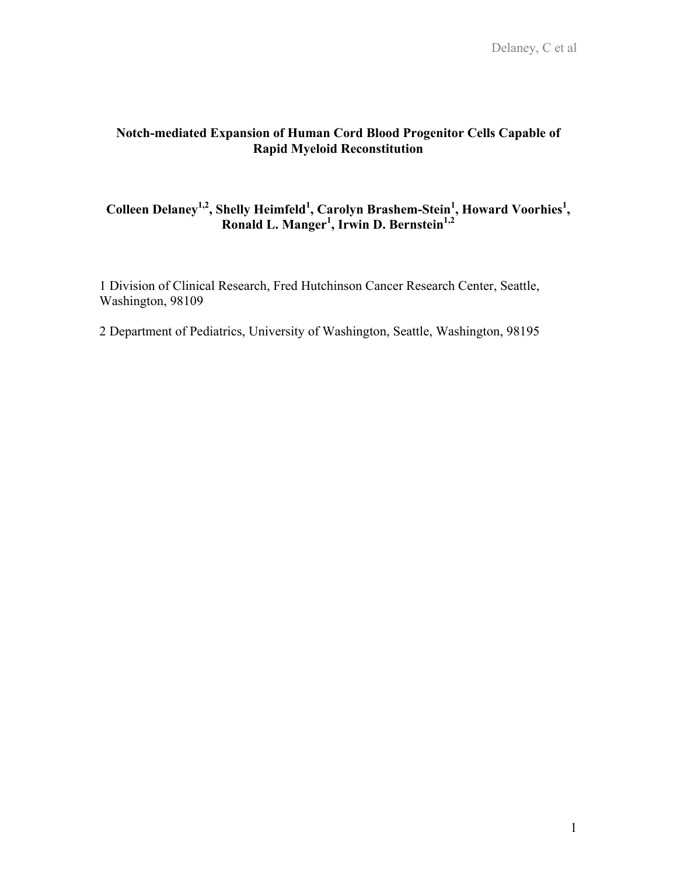# **Notch-mediated Expansion of Human Cord Blood Progenitor Cells Capable of Rapid Myeloid Reconstitution**

# Colleen Delaney<sup>1,2</sup>, Shelly Heimfeld<sup>1</sup>, Carolyn Brashem-Stein<sup>1</sup>, Howard Voorhies<sup>1</sup>, **Ronald L. Manger1 , Irwin D. Bernstein1,2**

1 Division of Clinical Research, Fred Hutchinson Cancer Research Center, Seattle, Washington, 98109

2 Department of Pediatrics, University of Washington, Seattle, Washington, 98195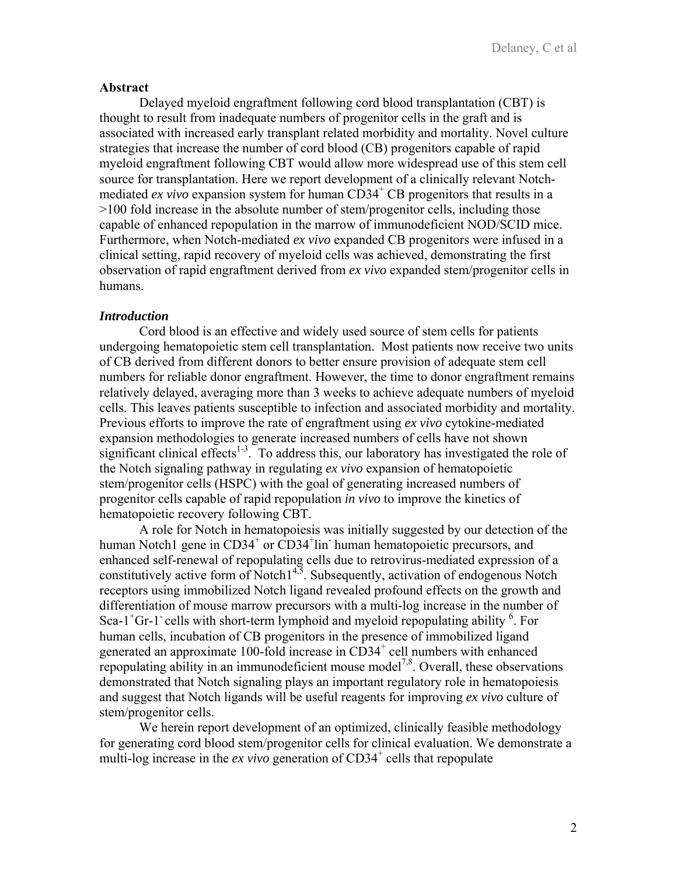### **Abstract**

Delayed myeloid engraftment following cord blood transplantation (CBT) is thought to result from inadequate numbers of progenitor cells in the graft and is associated with increased early transplant related morbidity and mortality. Novel culture strategies that increase the number of cord blood (CB) progenitors capable of rapid myeloid engraftment following CBT would allow more widespread use of this stem cell source for transplantation. Here we report development of a clinically relevant Notchmediated *ex vivo* expansion system for human  $CD34<sup>+</sup>$  CB progenitors that results in a >100 fold increase in the absolute number of stem/progenitor cells, including those capable of enhanced repopulation in the marrow of immunodeficient NOD/SCID mice. Furthermore, when Notch-mediated *ex vivo* expanded CB progenitors were infused in a clinical setting, rapid recovery of myeloid cells was achieved, demonstrating the first observation of rapid engraftment derived from *ex vivo* expanded stem/progenitor cells in humans.

## *Introduction*

 Cord blood is an effective and widely used source of stem cells for patients undergoing hematopoietic stem cell transplantation. Most patients now receive two units of CB derived from different donors to better ensure provision of adequate stem cell numbers for reliable donor engraftment. However, the time to donor engraftment remains relatively delayed, averaging more than 3 weeks to achieve adequate numbers of myeloid cells. This leaves patients susceptible to infection and associated morbidity and mortality. Previous efforts to improve the rate of engraftment using *ex vivo* cytokine-mediated expansion methodologies to generate increased numbers of cells have not shown significant clinical effects<sup> $1-3$ </sup>. To address this, our laboratory has investigated the role of the Notch signaling pathway in regulating *ex vivo* expansion of hematopoietic stem/progenitor cells (HSPC) with the goal of generating increased numbers of progenitor cells capable of rapid repopulation *in vivo* to improve the kinetics of hematopoietic recovery following CBT.

A role for Notch in hematopoiesis was initially suggested by our detection of the human Notch1 gene in CD34<sup>+</sup> or CD34<sup>+</sup>lin<sup>-</sup> human hematopoietic precursors, and enhanced self-renewal of repopulating cells due to retrovirus-mediated expression of a constitutively active form of Notch $1^{4,5}$ . Subsequently, activation of endogenous Notch receptors using immobilized Notch ligand revealed profound effects on the growth and differentiation of mouse marrow precursors with a multi-log increase in the number of Sca-1<sup>+</sup>Gr-1<sup>-</sup> cells with short-term lymphoid and myeloid repopulating ability <sup>6</sup>. For human cells, incubation of CB progenitors in the presence of immobilized ligand generated an approximate 100-fold increase in CD34<sup>+</sup> cell numbers with enhanced repopulating ability in an immunodeficient mouse model<sup>7,8</sup>. Overall, these observations demonstrated that Notch signaling plays an important regulatory role in hematopoiesis and suggest that Notch ligands will be useful reagents for improving *ex vivo* culture of stem/progenitor cells.

We herein report development of an optimized, clinically feasible methodology for generating cord blood stem/progenitor cells for clinical evaluation. We demonstrate a multi-log increase in the  $ex$  vivo generation of  $CD34^+$  cells that repopulate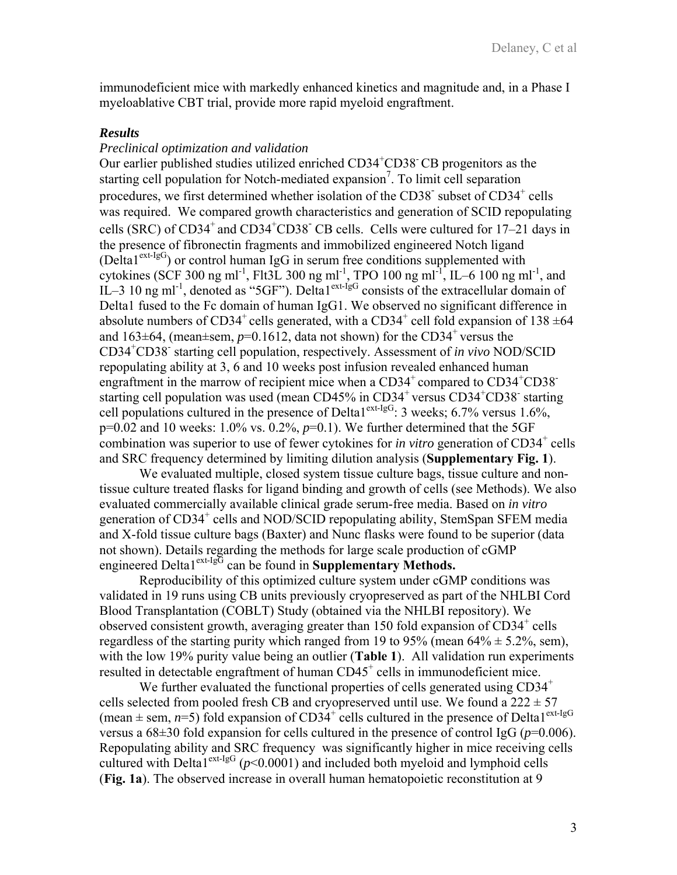immunodeficient mice with markedly enhanced kinetics and magnitude and, in a Phase I myeloablative CBT trial, provide more rapid myeloid engraftment.

## *Results*

# *Preclinical optimization and validation*

Our earlier published studies utilized enriched CD34<sup>+</sup>CD38<sup>-</sup>CB progenitors as the starting cell population for Notch-mediated expansion<sup>7</sup>. To limit cell separation procedures, we first determined whether isolation of the CD38<sup>-</sup> subset of CD34<sup>+</sup> cells was required. We compared growth characteristics and generation of SCID repopulating cells (SRC) of  $CD34^+$  and  $CD34^+CD38^-$  CB cells. Cells were cultured for 17–21 days in the presence of fibronectin fragments and immobilized engineered Notch ligand (Delta1<sup>ext-IgG</sup>) or control human IgG in serum free conditions supplemented with cytokines (SCF 300 ng ml<sup>-1</sup>, Flt3L 300 ng ml<sup>-1</sup>, TPO 100 ng ml<sup>-1</sup>, IL–6 100 ng ml<sup>-1</sup>, and IL–3 10 ng ml<sup>-1</sup>, denoted as "5GF"). Delta1<sup>ext-IgG</sup> consists of the extracellular domain of Delta1 fused to the Fc domain of human IgG1. We observed no significant difference in absolute numbers of CD34<sup>+</sup> cells generated, with a CD34<sup>+</sup> cell fold expansion of 138  $\pm$ 64 and  $163\pm64$ , (mean $\pm$ sem,  $p=0.1612$ , data not shown) for the CD34<sup>+</sup> versus the CD34+ CD38- starting cell population, respectively. Assessment of *in vivo* NOD/SCID repopulating ability at 3, 6 and 10 weeks post infusion revealed enhanced human engraftment in the marrow of recipient mice when a  $CD34^+$  compared to  $CD34^+CD38^+$ starting cell population was used (mean CD45% in CD34<sup>+</sup> versus CD34<sup>+</sup>CD38<sup>-</sup> starting cell populations cultured in the presence of Delta1<sup>ext-IgG</sup>: 3 weeks; 6.7% versus 1.6%, p=0.02 and 10 weeks: 1.0% vs. 0.2%, *p*=0.1). We further determined that the 5GF combination was superior to use of fewer cytokines for *in vitro* generation of CD34<sup>+</sup> cells and SRC frequency determined by limiting dilution analysis (**Supplementary Fig. 1**).

We evaluated multiple, closed system tissue culture bags, tissue culture and nontissue culture treated flasks for ligand binding and growth of cells (see Methods). We also evaluated commercially available clinical grade serum-free media. Based on *in vitro* generation of CD34<sup>+</sup> cells and NOD/SCID repopulating ability, StemSpan SFEM media and X-fold tissue culture bags (Baxter) and Nunc flasks were found to be superior (data not shown). Details regarding the methods for large scale production of cGMP engineered Delta1<sup>ext-IgG</sup> can be found in **Supplementary Methods.** 

Reproducibility of this optimized culture system under cGMP conditions was validated in 19 runs using CB units previously cryopreserved as part of the NHLBI Cord Blood Transplantation (COBLT) Study (obtained via the NHLBI repository). We observed consistent growth, averaging greater than 150 fold expansion of CD34<sup>+</sup> cells regardless of the starting purity which ranged from 19 to 95% (mean  $64\% \pm 5.2\%$ , sem), with the low 19% purity value being an outlier (**Table 1**). All validation run experiments resulted in detectable engraftment of human CD45<sup>+</sup> cells in immunodeficient mice.

We further evaluated the functional properties of cells generated using  $CD34<sup>+</sup>$ cells selected from pooled fresh CB and cryopreserved until use. We found a  $222 \pm 57$ (mean  $\pm$  sem, *n*=5) fold expansion of CD34<sup>+</sup> cells cultured in the presence of Delta1<sup>ext-IgG</sup> versus a 68±30 fold expansion for cells cultured in the presence of control IgG (*p*=0.006). Repopulating ability and SRC frequency was significantly higher in mice receiving cells cultured with Delta<sup>1ext-IgG</sup> ( $p$ <0.0001) and included both myeloid and lymphoid cells (**Fig. 1a**). The observed increase in overall human hematopoietic reconstitution at 9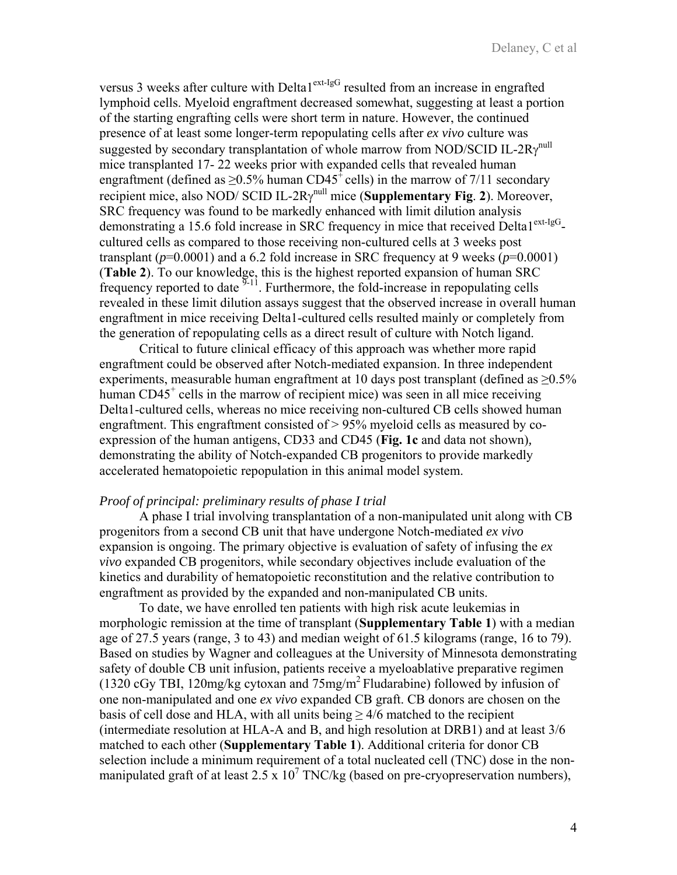versus 3 weeks after culture with Delta1<sup>ext-IgG</sup> resulted from an increase in engrafted lymphoid cells. Myeloid engraftment decreased somewhat, suggesting at least a portion of the starting engrafting cells were short term in nature. However, the continued presence of at least some longer-term repopulating cells after *ex vivo* culture was suggested by secondary transplantation of whole marrow from NOD/SCID IL-2R $\gamma^{\text{null}}$ mice transplanted 17- 22 weeks prior with expanded cells that revealed human engraftment (defined as  $>0.5\%$  human CD45<sup>+</sup> cells) in the marrow of 7/11 secondary recipient mice, also NOD/ SCID IL- $2R\gamma$ <sup>null</sup> mice (**Supplementary Fig. 2**). Moreover, SRC frequency was found to be markedly enhanced with limit dilution analysis demonstrating a 15.6 fold increase in SRC frequency in mice that received Delta1<sup>ext-IgG</sup>cultured cells as compared to those receiving non-cultured cells at 3 weeks post transplant ( $p=0.0001$ ) and a 6.2 fold increase in SRC frequency at 9 weeks ( $p=0.0001$ ) (**Table 2**). To our knowledge, this is the highest reported expansion of human SRC frequency reported to date  $\frac{9-11}{2}$ . Furthermore, the fold-increase in repopulating cells revealed in these limit dilution assays suggest that the observed increase in overall human engraftment in mice receiving Delta1-cultured cells resulted mainly or completely from the generation of repopulating cells as a direct result of culture with Notch ligand.

Critical to future clinical efficacy of this approach was whether more rapid engraftment could be observed after Notch-mediated expansion. In three independent experiments, measurable human engraftment at 10 days post transplant (defined as  $\geq 0.5\%$ ) human CD45<sup>+</sup> cells in the marrow of recipient mice) was seen in all mice receiving Delta1-cultured cells, whereas no mice receiving non-cultured CB cells showed human engraftment. This engraftment consisted of > 95% myeloid cells as measured by coexpression of the human antigens, CD33 and CD45 (**Fig. 1c** and data not shown)*,* demonstrating the ability of Notch-expanded CB progenitors to provide markedly accelerated hematopoietic repopulation in this animal model system.

#### *Proof of principal: preliminary results of phase I trial*

A phase I trial involving transplantation of a non-manipulated unit along with CB progenitors from a second CB unit that have undergone Notch-mediated *ex vivo* expansion is ongoing. The primary objective is evaluation of safety of infusing the *ex vivo* expanded CB progenitors, while secondary objectives include evaluation of the kinetics and durability of hematopoietic reconstitution and the relative contribution to engraftment as provided by the expanded and non-manipulated CB units.

To date, we have enrolled ten patients with high risk acute leukemias in morphologic remission at the time of transplant (**Supplementary Table 1**) with a median age of 27.5 years (range, 3 to 43) and median weight of 61.5 kilograms (range, 16 to 79). Based on studies by Wagner and colleagues at the University of Minnesota demonstrating safety of double CB unit infusion, patients receive a myeloablative preparative regimen (1320 cGy TBI, 120mg/kg cytoxan and 75mg/m2 Fludarabine) followed by infusion of one non-manipulated and one *ex vivo* expanded CB graft. CB donors are chosen on the basis of cell dose and HLA, with all units being  $> 4/6$  matched to the recipient (intermediate resolution at HLA-A and B, and high resolution at DRB1) and at least 3/6 matched to each other (**Supplementary Table 1**). Additional criteria for donor CB selection include a minimum requirement of a total nucleated cell (TNC) dose in the nonmanipulated graft of at least 2.5 x  $10^7$  TNC/kg (based on pre-cryopreservation numbers),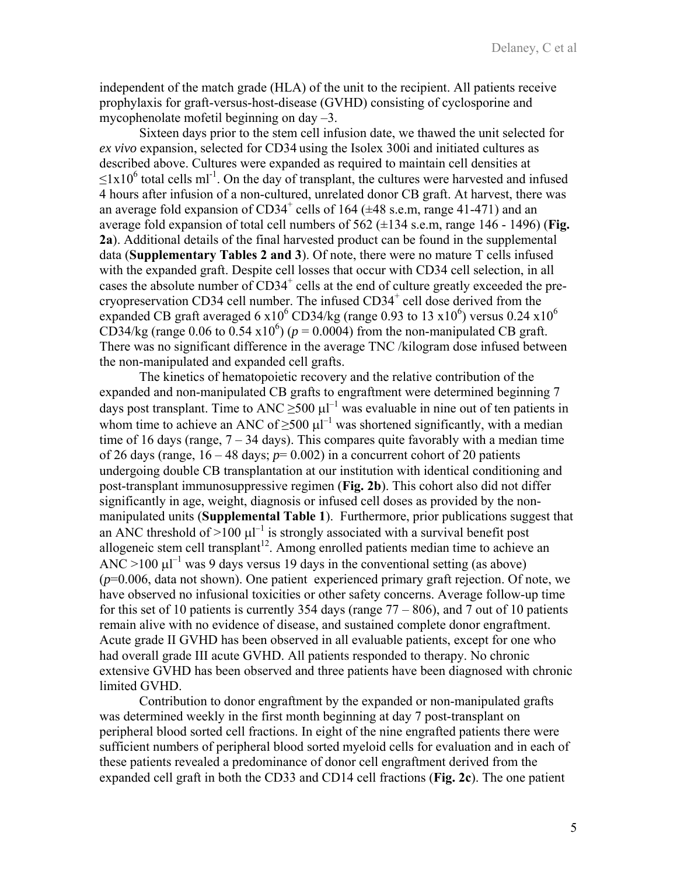independent of the match grade (HLA) of the unit to the recipient. All patients receive prophylaxis for graft-versus-host-disease (GVHD) consisting of cyclosporine and mycophenolate mofetil beginning on day –3.

Sixteen days prior to the stem cell infusion date, we thawed the unit selected for *ex vivo* expansion, selected for CD34 using the Isolex 300i and initiated cultures as described above. Cultures were expanded as required to maintain cell densities at  $\leq 1x10^6$  total cells ml<sup>-1</sup>. On the day of transplant, the cultures were harvested and infused 4 hours after infusion of a non-cultured, unrelated donor CB graft. At harvest, there was an average fold expansion of  $CD34^+$  cells of 164 ( $\pm$ 48 s.e.m, range 41-471) and an average fold expansion of total cell numbers of 562 (±134 s.e.m, range 146 - 1496) (**Fig. 2a**). Additional details of the final harvested product can be found in the supplemental data (**Supplementary Tables 2 and 3**). Of note, there were no mature T cells infused with the expanded graft. Despite cell losses that occur with CD34 cell selection, in all cases the absolute number of  $CD34^+$  cells at the end of culture greatly exceeded the precryopreservation CD34 cell number. The infused  $CD34<sup>+</sup>$  cell dose derived from the expanded CB graft averaged 6 x10<sup>6</sup> CD34/kg (range 0.93 to 13 x10<sup>6</sup>) versus 0.24 x10<sup>6</sup> CD34/kg (range 0.06 to 0.54 x10<sup>6</sup>) ( $p = 0.0004$ ) from the non-manipulated CB graft. There was no significant difference in the average TNC /kilogram dose infused between the non-manipulated and expanded cell grafts.

The kinetics of hematopoietic recovery and the relative contribution of the expanded and non-manipulated CB grafts to engraftment were determined beginning 7 days post transplant. Time to ANC  $\geq$ 500  $\mu$ l<sup>-1</sup> was evaluable in nine out of ten patients in whom time to achieve an ANC of  $\geq 500 \mu l^{-1}$  was shortened significantly, with a median time of 16 days (range,  $7 - 34$  days). This compares quite favorably with a median time of 26 days (range,  $16 - 48$  days;  $p = 0.002$ ) in a concurrent cohort of 20 patients undergoing double CB transplantation at our institution with identical conditioning and post-transplant immunosuppressive regimen (**Fig. 2b**). This cohort also did not differ significantly in age, weight, diagnosis or infused cell doses as provided by the nonmanipulated units (**Supplemental Table 1**). Furthermore, prior publications suggest that an ANC threshold of  $>100 \mu l^{-1}$  is strongly associated with a survival benefit post allogeneic stem cell transplant<sup>12</sup>. Among enrolled patients median time to achieve an ANC >100  $\mu$ l<sup>-1</sup> was 9 days versus 19 days in the conventional setting (as above) (*p*=0.006, data not shown). One patient experienced primary graft rejection. Of note, we have observed no infusional toxicities or other safety concerns. Average follow-up time for this set of 10 patients is currently 354 days (range  $77 - 806$ ), and 7 out of 10 patients remain alive with no evidence of disease, and sustained complete donor engraftment. Acute grade II GVHD has been observed in all evaluable patients, except for one who had overall grade III acute GVHD. All patients responded to therapy. No chronic extensive GVHD has been observed and three patients have been diagnosed with chronic limited GVHD.

Contribution to donor engraftment by the expanded or non-manipulated grafts was determined weekly in the first month beginning at day 7 post-transplant on peripheral blood sorted cell fractions. In eight of the nine engrafted patients there were sufficient numbers of peripheral blood sorted myeloid cells for evaluation and in each of these patients revealed a predominance of donor cell engraftment derived from the expanded cell graft in both the CD33 and CD14 cell fractions (**Fig. 2c**). The one patient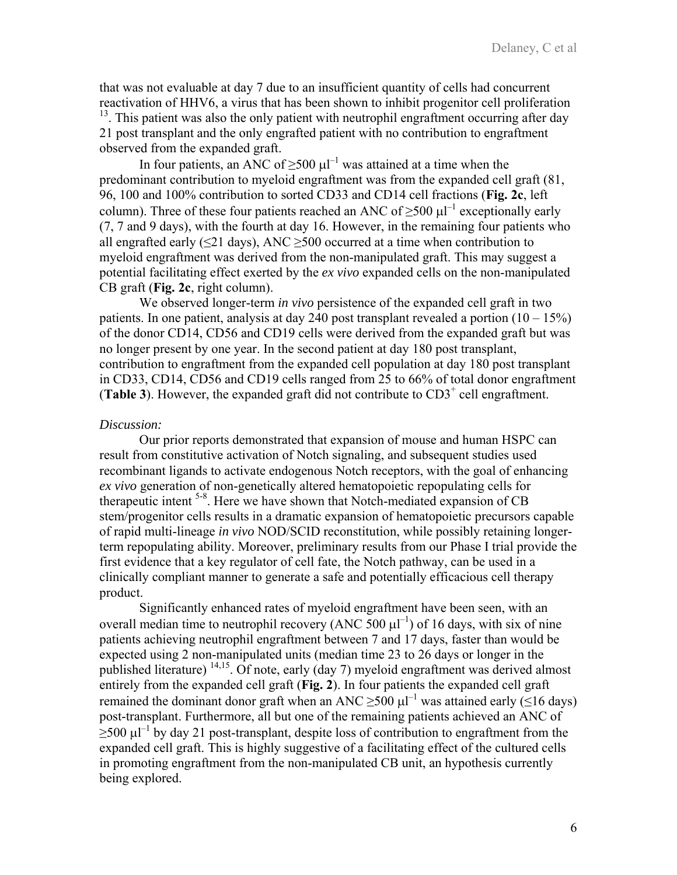that was not evaluable at day 7 due to an insufficient quantity of cells had concurrent reactivation of HHV6, a virus that has been shown to inhibit progenitor cell proliferation <sup>13</sup>. This patient was also the only patient with neutrophil engraftment occurring after day 21 post transplant and the only engrafted patient with no contribution to engraftment observed from the expanded graft.

In four patients, an ANC of  $\geq$ 500  $\mu$ l<sup>-1</sup> was attained at a time when the predominant contribution to myeloid engraftment was from the expanded cell graft (81, 96, 100 and 100% contribution to sorted CD33 and CD14 cell fractions (**Fig. 2c**, left column). Three of these four patients reached an ANC of  $\geq$ 500  $\mu$ l<sup>-1</sup> exceptionally early (7, 7 and 9 days), with the fourth at day 16. However, in the remaining four patients who all engrafted early ( $\leq$ 21 days), ANC  $\geq$ 500 occurred at a time when contribution to myeloid engraftment was derived from the non-manipulated graft. This may suggest a potential facilitating effect exerted by the *ex vivo* expanded cells on the non-manipulated CB graft (**Fig. 2c**, right column).

We observed longer-term *in vivo* persistence of the expanded cell graft in two patients. In one patient, analysis at day 240 post transplant revealed a portion  $(10 - 15\%)$ of the donor CD14, CD56 and CD19 cells were derived from the expanded graft but was no longer present by one year. In the second patient at day 180 post transplant, contribution to engraftment from the expanded cell population at day 180 post transplant in CD33, CD14, CD56 and CD19 cells ranged from 25 to 66% of total donor engraftment (Table 3). However, the expanded graft did not contribute to  $CD3<sup>+</sup>$  cell engraftment.

## *Discussion:*

Our prior reports demonstrated that expansion of mouse and human HSPC can result from constitutive activation of Notch signaling, and subsequent studies used recombinant ligands to activate endogenous Notch receptors, with the goal of enhancing *ex vivo* generation of non-genetically altered hematopoietic repopulating cells for therapeutic intent  $5-8$ . Here we have shown that Notch-mediated expansion of CB stem/progenitor cells results in a dramatic expansion of hematopoietic precursors capable of rapid multi-lineage *in vivo* NOD/SCID reconstitution, while possibly retaining longerterm repopulating ability. Moreover, preliminary results from our Phase I trial provide the first evidence that a key regulator of cell fate, the Notch pathway, can be used in a clinically compliant manner to generate a safe and potentially efficacious cell therapy product.

Significantly enhanced rates of myeloid engraftment have been seen, with an overall median time to neutrophil recovery (ANC 500  $\mu$ I<sup>-1</sup>) of 16 days, with six of nine patients achieving neutrophil engraftment between 7 and 17 days, faster than would be expected using 2 non-manipulated units (median time 23 to 26 days or longer in the published literature) 14,15. Of note, early (day 7) myeloid engraftment was derived almost entirely from the expanded cell graft (**Fig. 2**). In four patients the expanded cell graft remained the dominant donor graft when an ANC  $\geq$ 500  $\mu$ l<sup>-1</sup> was attained early ( $\leq$ 16 days) post-transplant. Furthermore, all but one of the remaining patients achieved an ANC of  $\geq$ 500  $\mu$ <sup>-1</sup> by day 21 post-transplant, despite loss of contribution to engraftment from the expanded cell graft. This is highly suggestive of a facilitating effect of the cultured cells in promoting engraftment from the non-manipulated CB unit, an hypothesis currently being explored.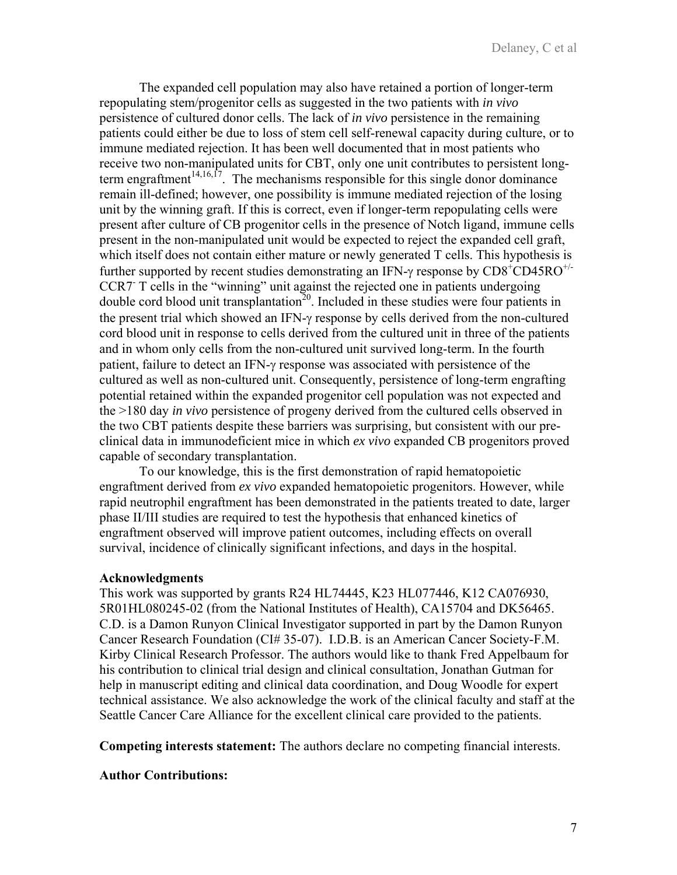The expanded cell population may also have retained a portion of longer-term repopulating stem/progenitor cells as suggested in the two patients with *in vivo* persistence of cultured donor cells. The lack of *in vivo* persistence in the remaining patients could either be due to loss of stem cell self-renewal capacity during culture, or to immune mediated rejection. It has been well documented that in most patients who receive two non-manipulated units for CBT, only one unit contributes to persistent longterm engraftment<sup>14,16,17</sup>. The mechanisms responsible for this single donor dominance remain ill-defined; however, one possibility is immune mediated rejection of the losing unit by the winning graft. If this is correct, even if longer-term repopulating cells were present after culture of CB progenitor cells in the presence of Notch ligand, immune cells present in the non-manipulated unit would be expected to reject the expanded cell graft, which itself does not contain either mature or newly generated T cells. This hypothesis is further supported by recent studies demonstrating an IFN- $\gamma$  response by CD8<sup>+</sup>CD45RO<sup>+/-</sup> CCR7 T cells in the "winning" unit against the rejected one in patients undergoing double cord blood unit transplantation<sup>20</sup>. Included in these studies were four patients in the present trial which showed an IFN-γ response by cells derived from the non-cultured cord blood unit in response to cells derived from the cultured unit in three of the patients and in whom only cells from the non-cultured unit survived long-term. In the fourth patient, failure to detect an IFN-γ response was associated with persistence of the cultured as well as non-cultured unit. Consequently, persistence of long-term engrafting potential retained within the expanded progenitor cell population was not expected and the >180 day *in vivo* persistence of progeny derived from the cultured cells observed in the two CBT patients despite these barriers was surprising, but consistent with our preclinical data in immunodeficient mice in which *ex vivo* expanded CB progenitors proved capable of secondary transplantation.

To our knowledge, this is the first demonstration of rapid hematopoietic engraftment derived from *ex vivo* expanded hematopoietic progenitors. However, while rapid neutrophil engraftment has been demonstrated in the patients treated to date, larger phase II/III studies are required to test the hypothesis that enhanced kinetics of engraftment observed will improve patient outcomes, including effects on overall survival, incidence of clinically significant infections, and days in the hospital.

## **Acknowledgments**

This work was supported by grants R24 HL74445, K23 HL077446, K12 CA076930, 5R01HL080245-02 (from the National Institutes of Health), CA15704 and DK56465. C.D. is a Damon Runyon Clinical Investigator supported in part by the Damon Runyon Cancer Research Foundation (CI# 35-07). I.D.B. is an American Cancer Society-F.M. Kirby Clinical Research Professor. The authors would like to thank Fred Appelbaum for his contribution to clinical trial design and clinical consultation, Jonathan Gutman for help in manuscript editing and clinical data coordination, and Doug Woodle for expert technical assistance. We also acknowledge the work of the clinical faculty and staff at the Seattle Cancer Care Alliance for the excellent clinical care provided to the patients.

**Competing interests statement:** The authors declare no competing financial interests.

## **Author Contributions:**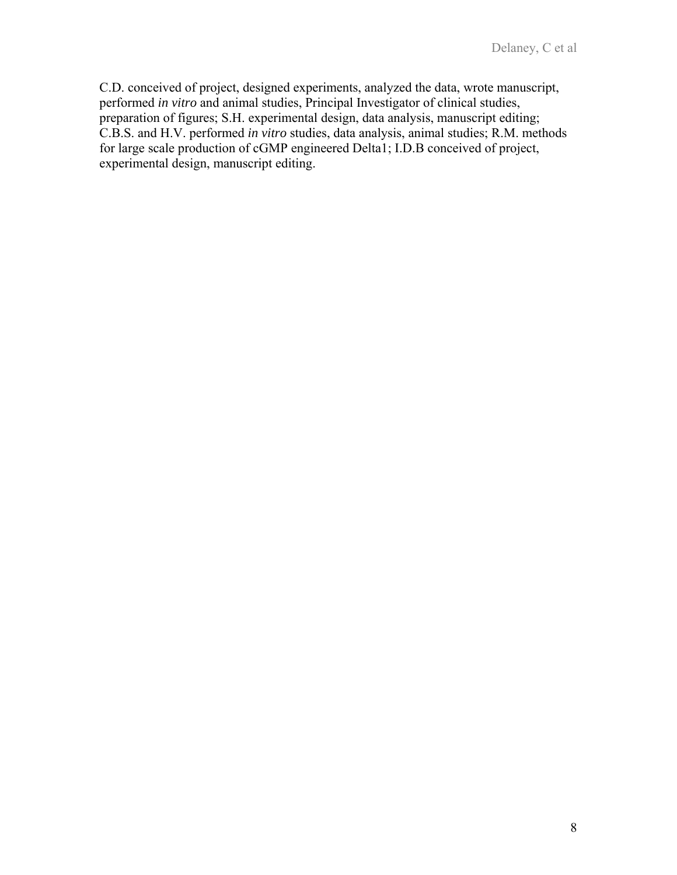C.D. conceived of project, designed experiments, analyzed the data, wrote manuscript, performed *in vitro* and animal studies, Principal Investigator of clinical studies, preparation of figures; S.H. experimental design, data analysis, manuscript editing; C.B.S. and H.V. performed *in vitro* studies, data analysis, animal studies; R.M. methods for large scale production of cGMP engineered Delta1; I.D.B conceived of project, experimental design, manuscript editing.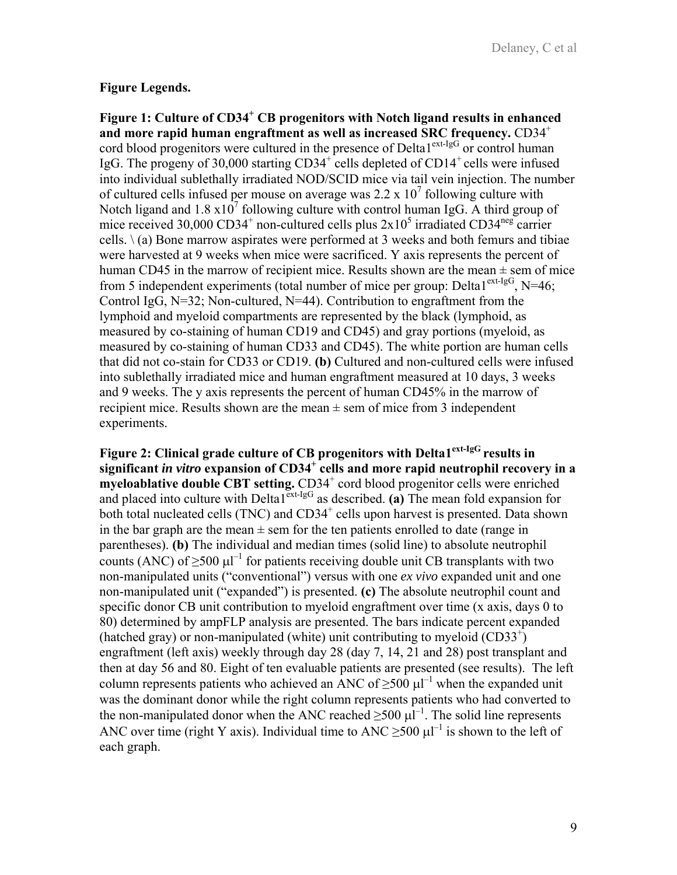# **Figure Legends.**

Figure 1: Culture of CD34<sup>+</sup> CB progenitors with Notch ligand results in enhanced **and more rapid human engraftment as well as increased SRC frequency.** CD34<sup>+</sup> cord blood progenitors were cultured in the presence of Delta1<sup>ext-IgG</sup> or control human IgG. The progeny of 30,000 starting  $CD34^+$  cells depleted of  $CD14^+$  cells were infused into individual sublethally irradiated NOD/SCID mice via tail vein injection. The number of cultured cells infused per mouse on average was  $2.2 \times 10^7$  following culture with Notch ligand and  $1.8 \times 10^7$  following culture with control human IgG. A third group of mice received 30,000 CD34<sup>+</sup> non-cultured cells plus  $2x10^5$  irradiated CD34<sup>neg</sup> carrier cells.  $\setminus$  (a) Bone marrow aspirates were performed at 3 weeks and both femurs and tibiae were harvested at 9 weeks when mice were sacrificed. Y axis represents the percent of human CD45 in the marrow of recipient mice. Results shown are the mean  $\pm$  sem of mice from 5 independent experiments (total number of mice per group: Delta $1^{\text{ext-lgG}}$ , N=46; Control IgG,  $N=32$ ; Non-cultured,  $N=44$ ). Contribution to engraftment from the lymphoid and myeloid compartments are represented by the black (lymphoid, as measured by co-staining of human CD19 and CD45) and gray portions (myeloid, as measured by co-staining of human CD33 and CD45). The white portion are human cells that did not co-stain for CD33 or CD19. **(b)** Cultured and non-cultured cells were infused into sublethally irradiated mice and human engraftment measured at 10 days, 3 weeks and 9 weeks. The y axis represents the percent of human CD45% in the marrow of recipient mice. Results shown are the mean  $\pm$  sem of mice from 3 independent experiments.

**Figure 2: Clinical grade culture of CB progenitors with Delta1ext-IgG results in significant** *in vitro* **expansion of CD34<sup>+</sup> cells and more rapid neutrophil recovery in a**  myeloablative double CBT setting. CD34<sup>+</sup> cord blood progenitor cells were enriched and placed into culture with Delta<sup> $1^{\text{ext-lgG}}$ </sup> as described. (a) The mean fold expansion for both total nucleated cells (TNC) and CD34<sup>+</sup> cells upon harvest is presented. Data shown in the bar graph are the mean  $\pm$  sem for the ten patients enrolled to date (range in parentheses). **(b)** The individual and median times (solid line) to absolute neutrophil counts (ANC) of  $\geq$ 500  $\mu$ l<sup>-1</sup> for patients receiving double unit CB transplants with two non-manipulated units ("conventional") versus with one *ex vivo* expanded unit and one non-manipulated unit ("expanded") is presented. **(c)** The absolute neutrophil count and specific donor CB unit contribution to myeloid engraftment over time (x axis, days 0 to 80) determined by ampFLP analysis are presented. The bars indicate percent expanded (hatched gray) or non-manipulated (white) unit contributing to myeloid (CD33+ ) engraftment (left axis) weekly through day 28 (day 7, 14, 21 and 28) post transplant and then at day 56 and 80. Eight of ten evaluable patients are presented (see results). The left column represents patients who achieved an ANC of  $\geq$ 500 μl<sup>-1</sup> when the expanded unit was the dominant donor while the right column represents patients who had converted to the non-manipulated donor when the ANC reached  $\geq$ 500  $\mu$ l<sup>-1</sup>. The solid line represents ANC over time (right Y axis). Individual time to ANC  $\geq$ 500  $\mu$ l<sup>-1</sup> is shown to the left of each graph.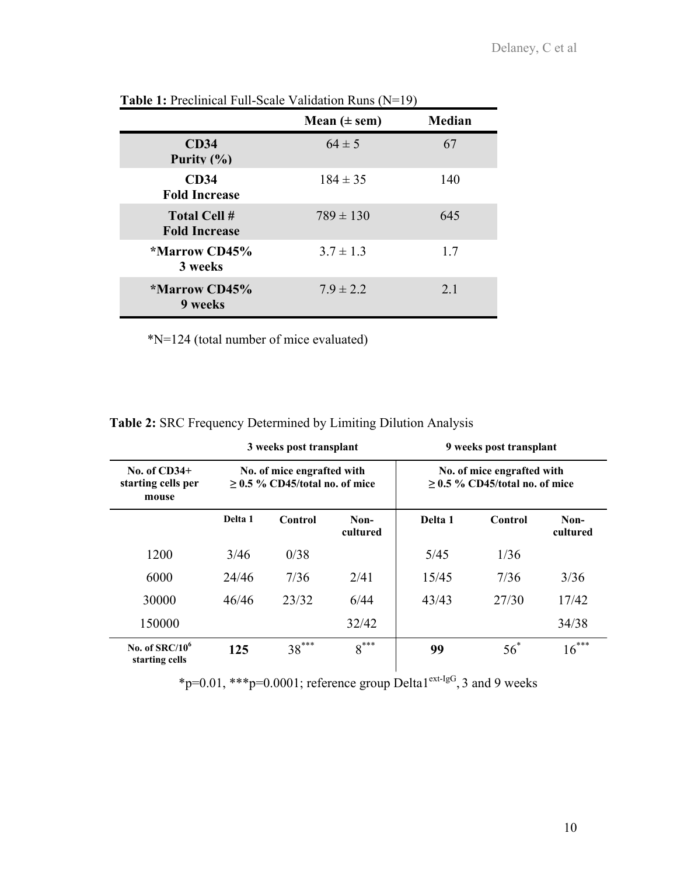|                                             | Mean $(\pm$ sem) | <b>Median</b> |
|---------------------------------------------|------------------|---------------|
| <b>CD34</b><br>Purity $(\% )$               | $64 \pm 5$       | 67            |
| CD34<br><b>Fold Increase</b>                | $184 \pm 35$     | 140           |
| <b>Total Cell #</b><br><b>Fold Increase</b> | $789 \pm 130$    | 645           |
| *Marrow CD45%<br>3 weeks                    | $3.7 \pm 1.3$    | 1.7           |
| <i><b>*Marrow CD45%</b></i><br>9 weeks      | $7.9 \pm 2.2$    | 2.1           |

**Table 1:** Preclinical Full-Scale Validation Runs (N=19)

\*N=124 (total number of mice evaluated)

| <b>Table 2: SRC Frequency Determined by Limiting Dilution Analysis</b> |
|------------------------------------------------------------------------|
|                                                                        |

|                                               | 3 weeks post transplant                                           |         |                  | 9 weeks post transplant |            |                                                                |  |
|-----------------------------------------------|-------------------------------------------------------------------|---------|------------------|-------------------------|------------|----------------------------------------------------------------|--|
| No. of $CD34+$<br>starting cells per<br>mouse | No. of mice engrafted with<br>$\geq$ 0.5 % CD45/total no. of mice |         |                  |                         |            | No. of mice engrafted with<br>$> 0.5$ % CD45/total no. of mice |  |
|                                               | Delta 1                                                           | Control | Non-<br>cultured | Delta 1                 | Control    | Non-<br>cultured                                               |  |
| 1200                                          | 3/46                                                              | 0/38    |                  | 5/45                    | 1/36       |                                                                |  |
| 6000                                          | 24/46                                                             | 7/36    | 2/41             | 15/45                   | 7/36       | 3/36                                                           |  |
| 30000                                         | 46/46                                                             | 23/32   | 6/44             | 43/43                   | 27/30      | 17/42                                                          |  |
| 150000                                        |                                                                   |         | 32/42            |                         |            | 34/38                                                          |  |
| No. of $SRC/10^6$<br>starting cells           | 125                                                               | $38***$ | $8***$           | 99                      | $56^\circ$ | $16***$                                                        |  |

\*p=0.01, \*\*\*p=0.0001; reference group Delta1<sup>ext-IgG</sup>, 3 and 9 weeks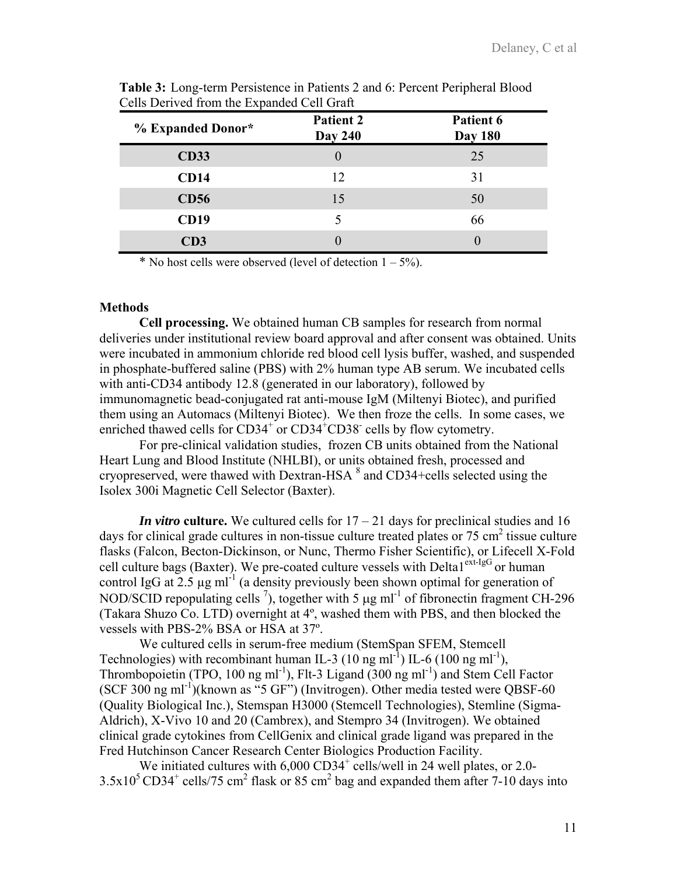| % Expanded Donor* | <b>Patient 2</b><br><b>Day 240</b> | Patient 6<br><b>Day 180</b> |
|-------------------|------------------------------------|-----------------------------|
| <b>CD33</b>       |                                    | 25                          |
| <b>CD14</b>       | 12                                 | 31                          |
| <b>CD56</b>       | 15                                 | 50                          |
| <b>CD19</b>       |                                    | 66                          |
| CD3               |                                    |                             |

**Table 3:** Long-term Persistence in Patients 2 and 6: Percent Peripheral Blood Cells Derived from the Expanded Cell Graft

\* No host cells were observed (level of detection  $1 - 5\%$ ).

#### **Methods**

**Cell processing.** We obtained human CB samples for research from normal deliveries under institutional review board approval and after consent was obtained. Units were incubated in ammonium chloride red blood cell lysis buffer, washed, and suspended in phosphate-buffered saline (PBS) with 2% human type AB serum. We incubated cells with anti-CD34 antibody 12.8 (generated in our laboratory), followed by immunomagnetic bead-conjugated rat anti-mouse IgM (Miltenyi Biotec), and purified them using an Automacs (Miltenyi Biotec). We then froze the cells. In some cases, we enriched thawed cells for  $CD34^+$  or  $CD34^+$ CD38<sup>-</sup> cells by flow cytometry.

For pre-clinical validation studies, frozen CB units obtained from the National Heart Lung and Blood Institute (NHLBI), or units obtained fresh, processed and cryopreserved, were thawed with Dextran-HSA  $^8$  and CD34+cells selected using the Isolex 300i Magnetic Cell Selector (Baxter).

*In vitro* culture. We cultured cells for  $17 - 21$  days for preclinical studies and 16 days for clinical grade cultures in non-tissue culture treated plates or  $75 \text{ cm}^2$  tissue culture flasks (Falcon, Becton-Dickinson, or Nunc, Thermo Fisher Scientific), or Lifecell X-Fold cell culture bags (Baxter). We pre-coated culture vessels with Delta $1^{ext-lgG}$  or human control IgG at 2.5  $\mu$ g ml<sup>-1</sup> (a density previously been shown optimal for generation of NOD/SCID repopulating cells <sup>7</sup>), together with 5  $\mu$ g ml<sup>-1</sup> of fibronectin fragment CH-296 (Takara Shuzo Co. LTD) overnight at 4º, washed them with PBS, and then blocked the vessels with PBS-2% BSA or HSA at 37º.

We cultured cells in serum-free medium (StemSpan SFEM, Stemcell Technologies) with recombinant human IL-3 (10 ng ml<sup>-1</sup>) IL-6 (100 ng ml<sup>-1</sup>), Thrombopoietin (TPO, 100 ng ml<sup>-1</sup>), Flt-3 Ligand (300 ng ml<sup>-1</sup>) and Stem Cell Factor (SCF 300 ng ml<sup>-1</sup>)(known as "5 GF") (Invitrogen). Other media tested were QBSF-60 (Quality Biological Inc.), Stemspan H3000 (Stemcell Technologies), Stemline (Sigma-Aldrich), X-Vivo 10 and 20 (Cambrex), and Stempro 34 (Invitrogen). We obtained clinical grade cytokines from CellGenix and clinical grade ligand was prepared in the Fred Hutchinson Cancer Research Center Biologics Production Facility.

We initiated cultures with 6,000 CD34<sup>+</sup> cells/well in 24 well plates, or 2.0- $3.5x10^5CD34^+$  cells/75 cm<sup>2</sup> flask or 85 cm<sup>2</sup> bag and expanded them after 7-10 days into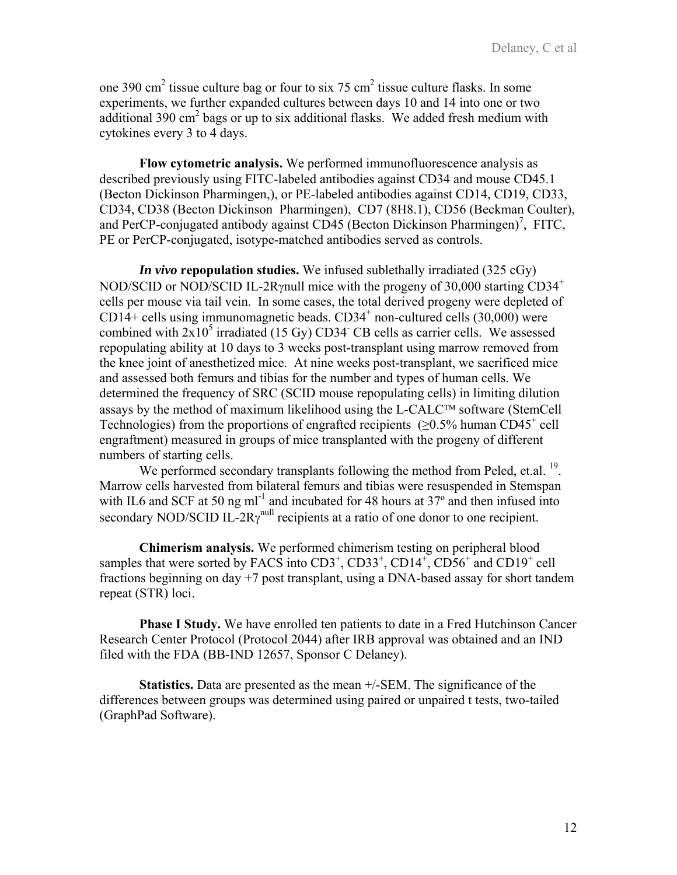one 390 cm<sup>2</sup> tissue culture bag or four to six 75 cm<sup>2</sup> tissue culture flasks. In some experiments, we further expanded cultures between days 10 and 14 into one or two additional 390  $\text{cm}^2$  bags or up to six additional flasks. We added fresh medium with cytokines every 3 to 4 days.

**Flow cytometric analysis.** We performed immunofluorescence analysis as described previously using FITC-labeled antibodies against CD34 and mouse CD45.1 (Becton Dickinson Pharmingen,), or PE-labeled antibodies against CD14, CD19, CD33, CD34, CD38 (Becton Dickinson Pharmingen), CD7 (8H8.1), CD56 (Beckman Coulter), and PerCP-conjugated antibody against  $CD45$  (Becton Dickinson Pharmingen)<sup>7</sup>, FITC, PE or PerCP-conjugated, isotype-matched antibodies served as controls.

*In vivo* **repopulation studies.** We infused sublethally irradiated (325 cGy) NOD/SCID or NOD/SCID IL-2Rγnull mice with the progeny of 30,000 starting CD34<sup>+</sup> cells per mouse via tail vein. In some cases, the total derived progeny were depleted of  $CD14+$  cells using immunomagnetic beads.  $CD34<sup>+</sup>$  non-cultured cells (30,000) were combined with  $2x10^5$  irradiated (15 Gy) CD34<sup>-</sup> CB cells as carrier cells. We assessed repopulating ability at 10 days to 3 weeks post-transplant using marrow removed from the knee joint of anesthetized mice. At nine weeks post-transplant, we sacrificed mice and assessed both femurs and tibias for the number and types of human cells. We determined the frequency of SRC (SCID mouse repopulating cells) in limiting dilution assays by the method of maximum likelihood using the L-CALC™ software (StemCell Technologies) from the proportions of engrafted recipients  $(≥0.5%$  human CD45<sup>+</sup> cell engraftment) measured in groups of mice transplanted with the progeny of different numbers of starting cells.

We performed secondary transplants following the method from Peled, et.al. <sup>19</sup>. Marrow cells harvested from bilateral femurs and tibias were resuspended in Stemspan with IL6 and SCF at 50 ng ml<sup>-1</sup> and incubated for 48 hours at  $37^{\circ}$  and then infused into secondary NOD/SCID IL-2R $\gamma^{\text{null}}$  recipients at a ratio of one donor to one recipient.

**Chimerism analysis.** We performed chimerism testing on peripheral blood samples that were sorted by FACS into  $CD3^+$ ,  $CD33^+$ ,  $CD14^+$ ,  $CD56^+$  and  $CD19^+$  cell fractions beginning on day +7 post transplant, using a DNA-based assay for short tandem repeat (STR) loci.

**Phase I Study.** We have enrolled ten patients to date in a Fred Hutchinson Cancer Research Center Protocol (Protocol 2044) after IRB approval was obtained and an IND filed with the FDA (BB-IND 12657, Sponsor C Delaney).

**Statistics.** Data are presented as the mean +/-SEM. The significance of the differences between groups was determined using paired or unpaired t tests, two-tailed (GraphPad Software).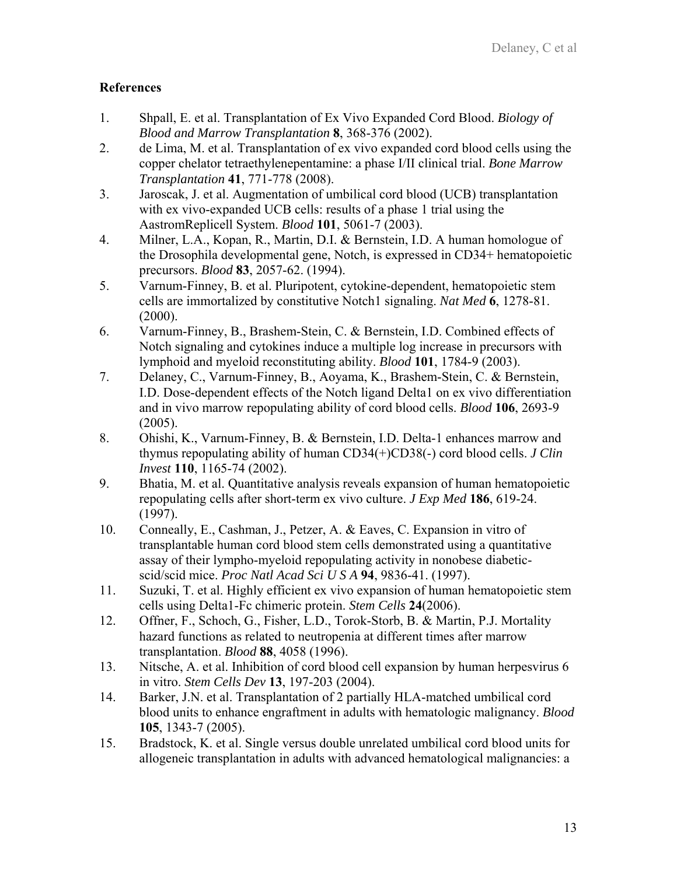# **References**

- 1. Shpall, E. et al. Transplantation of Ex Vivo Expanded Cord Blood. *Biology of Blood and Marrow Transplantation* **8**, 368-376 (2002).
- 2. de Lima, M. et al. Transplantation of ex vivo expanded cord blood cells using the copper chelator tetraethylenepentamine: a phase I/II clinical trial. *Bone Marrow Transplantation* **41**, 771-778 (2008).
- 3. Jaroscak, J. et al. Augmentation of umbilical cord blood (UCB) transplantation with ex vivo-expanded UCB cells: results of a phase 1 trial using the AastromReplicell System. *Blood* **101**, 5061-7 (2003).
- 4. Milner, L.A., Kopan, R., Martin, D.I. & Bernstein, I.D. A human homologue of the Drosophila developmental gene, Notch, is expressed in CD34+ hematopoietic precursors. *Blood* **83**, 2057-62. (1994).
- 5. Varnum-Finney, B. et al. Pluripotent, cytokine-dependent, hematopoietic stem cells are immortalized by constitutive Notch1 signaling. *Nat Med* **6**, 1278-81.  $(2000).$
- 6. Varnum-Finney, B., Brashem-Stein, C. & Bernstein, I.D. Combined effects of Notch signaling and cytokines induce a multiple log increase in precursors with lymphoid and myeloid reconstituting ability. *Blood* **101**, 1784-9 (2003).
- 7. Delaney, C., Varnum-Finney, B., Aoyama, K., Brashem-Stein, C. & Bernstein, I.D. Dose-dependent effects of the Notch ligand Delta1 on ex vivo differentiation and in vivo marrow repopulating ability of cord blood cells. *Blood* **106**, 2693-9  $(2005)$ .
- 8. Ohishi, K., Varnum-Finney, B. & Bernstein, I.D. Delta-1 enhances marrow and thymus repopulating ability of human CD34(+)CD38(-) cord blood cells. *J Clin Invest* **110**, 1165-74 (2002).
- 9. Bhatia, M. et al. Quantitative analysis reveals expansion of human hematopoietic repopulating cells after short-term ex vivo culture. *J Exp Med* **186**, 619-24. (1997).
- 10. Conneally, E., Cashman, J., Petzer, A. & Eaves, C. Expansion in vitro of transplantable human cord blood stem cells demonstrated using a quantitative assay of their lympho-myeloid repopulating activity in nonobese diabeticscid/scid mice. *Proc Natl Acad Sci U S A* **94**, 9836-41. (1997).
- 11. Suzuki, T. et al. Highly efficient ex vivo expansion of human hematopoietic stem cells using Delta1-Fc chimeric protein. *Stem Cells* **24**(2006).
- 12. Offner, F., Schoch, G., Fisher, L.D., Torok-Storb, B. & Martin, P.J. Mortality hazard functions as related to neutropenia at different times after marrow transplantation. *Blood* **88**, 4058 (1996).
- 13. Nitsche, A. et al. Inhibition of cord blood cell expansion by human herpesvirus 6 in vitro. *Stem Cells Dev* **13**, 197-203 (2004).
- 14. Barker, J.N. et al. Transplantation of 2 partially HLA-matched umbilical cord blood units to enhance engraftment in adults with hematologic malignancy. *Blood* **105**, 1343-7 (2005).
- 15. Bradstock, K. et al. Single versus double unrelated umbilical cord blood units for allogeneic transplantation in adults with advanced hematological malignancies: a